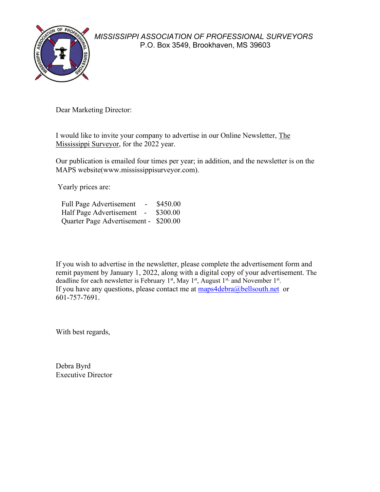

*MISSISSIPPI ASSOCIATION OF PROFESSIONAL SURVEYORS* P.O. Box 3549, Brookhaven, MS 39603

Dear Marketing Director:

I would like to invite your company to advertise in our Online Newsletter, The Mississippi Surveyor, for the 2022 year.

Our publication is emailed four times per year; in addition, and the newsletter is on the MAPS website(www.mississippisurveyor.com).

Yearly prices are:

| <b>Full Page Advertisement</b><br>$\sim$ | \$450.00 |
|------------------------------------------|----------|
| Half Page Advertisement -                | \$300.00 |
| Quarter Page Advertisement - \$200.00    |          |

If you wish to advertise in the newsletter, please complete the advertisement form and remit payment by January 1, 2022, along with a digital copy of your advertisement. The deadline for each newsletter is February  $1<sup>st</sup>$ , May  $1<sup>st</sup>$ , August  $1<sup>st</sup>$ , and November  $1<sup>st</sup>$ . If you have any questions, please contact me at  $\frac{maps4debra@bellsouth.net}{maps4debra@bellsouth}$ 601-757-7691.

With best regards,

Debra Byrd Executive Director